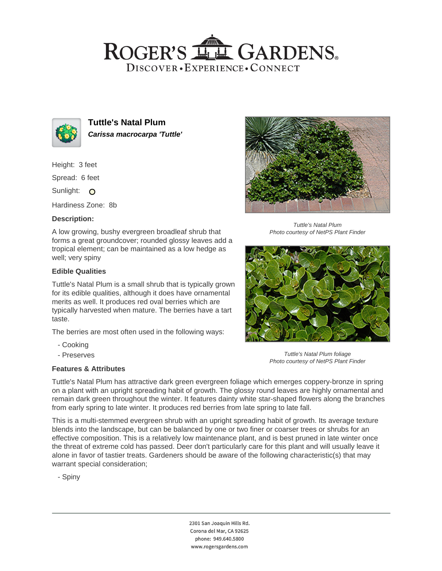# ROGER'S LL GARDENS. DISCOVER · EXPERIENCE · CONNECT



**Tuttle's Natal Plum Carissa macrocarpa 'Tuttle'**

Height: 3 feet

Spread: 6 feet

Sunlight: O

Hardiness Zone: 8b

### **Description:**

A low growing, bushy evergreen broadleaf shrub that forms a great groundcover; rounded glossy leaves add a tropical element; can be maintained as a low hedge as well; very spiny

### **Edible Qualities**

Tuttle's Natal Plum is a small shrub that is typically grown for its edible qualities, although it does have ornamental merits as well. It produces red oval berries which are typically harvested when mature. The berries have a tart taste.

The berries are most often used in the following ways:

- Cooking
- Preserves

### **Features & Attributes**



Tuttle's Natal Plum Photo courtesy of NetPS Plant Finder



Tuttle's Natal Plum foliage Photo courtesy of NetPS Plant Finder

Tuttle's Natal Plum has attractive dark green evergreen foliage which emerges coppery-bronze in spring on a plant with an upright spreading habit of growth. The glossy round leaves are highly ornamental and remain dark green throughout the winter. It features dainty white star-shaped flowers along the branches from early spring to late winter. It produces red berries from late spring to late fall.

This is a multi-stemmed evergreen shrub with an upright spreading habit of growth. Its average texture blends into the landscape, but can be balanced by one or two finer or coarser trees or shrubs for an effective composition. This is a relatively low maintenance plant, and is best pruned in late winter once the threat of extreme cold has passed. Deer don't particularly care for this plant and will usually leave it alone in favor of tastier treats. Gardeners should be aware of the following characteristic(s) that may warrant special consideration;

- Spiny

2301 San Joaquin Hills Rd. Corona del Mar, CA 92625 phone: 949.640.5800 www.rogersgardens.com